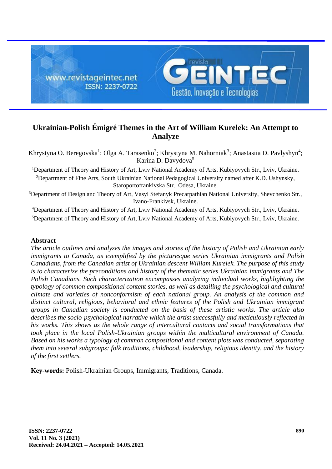

# **Ukrainian-Polish Émigré Themes in the Art of William Kurelek: An Attempt to Analyze**

Khrystyna O. Beregovska<sup>1</sup>; Olga A. Tarasenko<sup>2</sup>; Khrystyna M. Nahorniak<sup>3</sup>; Anastasiia D. Pavlyshyn<sup>4</sup>; Karina D. Davydova<sup>5</sup>

<sup>1</sup>Department of Theory and History of Art, Lviv National Academy of Arts, Kubiyovych Str., Lviv, Ukraine.

<sup>2</sup>Department of Fine Arts, South Ukrainian National Pedagogical University named after K.D. Ushynsky, Staroportofrankivska Str., Odesa, Ukraine.

<sup>3</sup>Department of Design and Theory of Art, Vasyl Stefanyk Precarpathian National University, Shevchenko Str., Ivano-Frankivsk, Ukraine.

<sup>4</sup>Department of Theory and History of Art, Lviv National Academy of Arts, Kubiyovych Str., Lviv, Ukraine. <sup>5</sup>Department of Theory and History of Art, Lviv National Academy of Arts, Kubiyovych Str., Lviv, Ukraine.

# **Abstract**

*The article outlines and analyzes the images and stories of the history of Polish and Ukrainian early immigrants to Canada, as exemplified by the picturesque series Ukrainian immigrants and Polish Canadians, from the Canadian artist of Ukrainian descent William Kurelek. The purpose of this study is to characterize the preconditions and history of the thematic series Ukrainian immigrants and The Polish Canadians. Such characterization encompasses analyzing individual works, highlighting the typology of common compositional content stories, as well as detailing the psychological and cultural climate and varieties of nonconformism of each national group. An analysis of the common and distinct cultural, religious, behavioral and ethnic features of the Polish and Ukrainian immigrant groups in Canadian society is conducted on the basis of these artistic works. The article also describes the socio-psychological narrative which the artist successfully and meticulously reflected in his works. This shows us the whole range of intercultural contacts and social transformations that took place in the local Polish-Ukrainian groups within the multicultural environment of Canada. Based on his works a typology of common compositional and content plots was conducted, separating them into several subgroups: folk traditions, childhood, leadership, religious identity, and the history of the first settlers.*

**Key-words:** Polish-Ukrainian Groups, Immigrants, Traditions, Canada.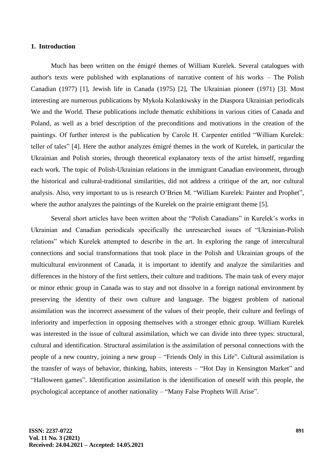#### **1. Introduction**

Much has been written on the émigré themes of William Kurelek. Several catalogues with author's texts were published with explanations of narrative content of his works – The Polish Canadian (1977) [1], Jewish life in Canada (1975) [2], The Ukrainian pioneer (1971) [3]. Most interesting are numerous publications by Mykola Kolankiwsky in the Diaspora Ukrainian periodicals We and the World. These publications include thematic exhibitions in various cities of Canada and Poland, as well as a brief description of the preconditions and motivations in the creation of the paintings. Of further interest is the publication by Carole H. Carpenter entitled "William Kurelek: teller of tales" [4]. Here the author analyzes émigré themes in the work of Kurelek, in particular the Ukrainian and Polish stories, through theoretical explanatory texts of the artist himself, regarding each work. The topic of Polish-Ukrainian relations in the immigrant Canadian environment, through the historical and cultural-traditional similarities, did not address a critique of the art, nor cultural analysis. Also, very important to us is research O'Brien M. "William Kurelek: Painter and Prophet", where the author analyzes the paintings of the Kurelek on the prairie emigrant theme [5].

Several short articles have been written about the "Polish Canadians" in Kurelek's works in Ukrainian and Canadian periodicals specifically the unresearched issues of "Ukrainian-Polish relations" which Kurelek attempted to describe in the art. In exploring the range of intercultural connections and social transformations that took place in the Polish and Ukrainian groups of the multicultural environment of Canada, it is important to identify and analyze the similarities and differences in the history of the first settlers, their culture and traditions. The main task of every major or minor ethnic group in Canada was to stay and not dissolve in a foreign national environment by preserving the identity of their own culture and language. The biggest problem of national assimilation was the incorrect assessment of the values of their people, their culture and feelings of inferiority and imperfection in opposing themselves with a stronger ethnic group. William Kurelek was interested in the issue of cultural assimilation, which we can divide into three types: structural, cultural and identification. Structural assimilation is the assimilation of personal connections with the people of a new country, joining a new group – "Friends Only in this Life". Cultural assimilation is the transfer of ways of behavior, thinking, habits, interests – "Hot Day in Kensington Market" and "Halloween games". Identification assimilation is the identification of oneself with this people, the psychological acceptance of another nationality – "Many False Prophets Will Arise".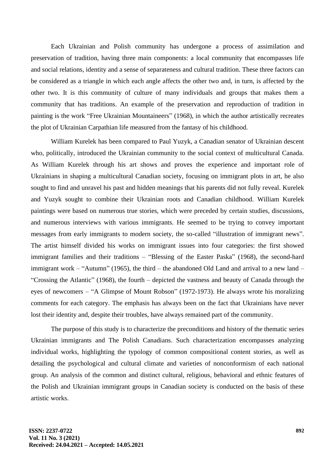Each Ukrainian and Polish community has undergone a process of assimilation and preservation of tradition, having three main components: a local community that encompasses life and social relations, identity and a sense of separateness and cultural tradition. These three factors can be considered as a triangle in which each angle affects the other two and, in turn, is affected by the other two. It is this community of culture of many individuals and groups that makes them a community that has traditions. An example of the preservation and reproduction of tradition in painting is the work "Free Ukrainian Mountaineers" (1968), in which the author artistically recreates the plot of Ukrainian Carpathian life measured from the fantasy of his childhood.

William Kurelek has been compared to Paul Yuzyk, a Canadian senator of Ukrainian descent who, politically, introduced the Ukrainian community to the social context of multicultural Canada. As William Kurelek through his art shows and proves the experience and important role of Ukrainians in shaping a multicultural Canadian society, focusing on immigrant plots in art, he also sought to find and unravel his past and hidden meanings that his parents did not fully reveal. Kurelek and Yuzyk sought to combine their Ukrainian roots and Canadian childhood. William Kurelek paintings were based on numerous true stories, which were preceded by certain studies, discussions, and numerous interviews with various immigrants. He seemed to be trying to convey important messages from early immigrants to modern society, the so-called "illustration of immigrant news". The artist himself divided his works on immigrant issues into four categories: the first showed immigrant families and their traditions – "Blessing of the Easter Paska" (1968), the second-hard immigrant work – "Autumn" (1965), the third – the abandoned Old Land and arrival to a new land – "Crossing the Atlantic" (1968), the fourth – depicted the vastness and beauty of Canada through the eyes of newcomers – "A Glimpse of Mount Robson" (1972-1973). He always wrote his moralizing comments for each category. The emphasis has always been on the fact that Ukrainians have never lost their identity and, despite their troubles, have always remained part of the community.

The purpose of this study is to characterize the preconditions and history of the thematic series Ukrainian immigrants and The Polish Canadians. Such characterization encompasses analyzing individual works, highlighting the typology of common compositional content stories, as well as detailing the psychological and cultural climate and varieties of nonconformism of each national group. An analysis of the common and distinct cultural, religious, behavioral and ethnic features of the Polish and Ukrainian immigrant groups in Canadian society is conducted on the basis of these artistic works.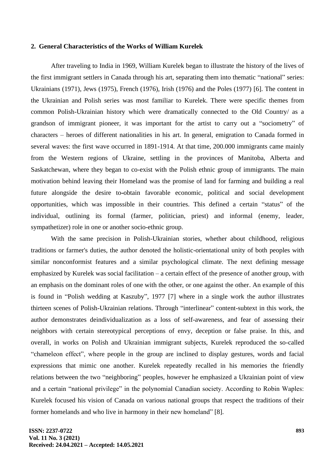### **2. General Characteristics of the Works of William Kurelek**

After traveling to India in 1969, William Kurelek began to illustrate the history of the lives of the first immigrant settlers in Canada through his art, separating them into thematic "national" series: Ukrainians (1971), Jews (1975), French (1976), Irish (1976) and the Poles (1977) [6]. The content in the Ukrainian and Polish series was most familiar to Kurelek. There were specific themes from common Polish-Ukrainian history which were dramatically connected to the Old Country/ as a grandson of immigrant pioneer, it was important for the artist to carry out a "sociometry" of characters – heroes of different nationalities in his art. In general, emigration to Canada formed in several waves: the first wave occurred in 1891-1914. At that time, 200.000 immigrants came mainly from the Western regions of Ukraine, settling in the provinces of Manitoba, Alberta and Saskatchewan, where they began to co-exist with the Polish ethnic group of immigrants. The main motivation behind leaving their Homeland was the promise of land for farming and building a real future alongside the desire to-obtain favorable economic, political and social development opportunities, which was impossible in their countries. This defined a certain "status" of the individual, outlining its formal (farmer, politician, priest) and informal (enemy, leader, sympathetizer) role in one or another socio-ethnic group.

With the same precision in Polish-Ukrainian stories, whether about childhood, religious traditions or farmer's duties, the author denoted the holistic-orientational unity of both peoples with similar nonconformist features and a similar psychological climate. The next defining message emphasized by Kurelek was social facilitation – a certain effect of the presence of another group, with an emphasis on the dominant roles of one with the other, or one against the other. An example of this is found in "Polish wedding at Kaszuby", 1977 [7] where in a single work the author illustrates thirteen scenes of Polish-Ukrainian relations. Through "interlinear" content-subtext in this work, the author demonstrates deindividualization as a loss of self-awareness, and fear of assessing their neighbors with certain stereotypical perceptions of envy, deception or false praise. In this, and overall, in works on Polish and Ukrainian immigrant subjects, Kurelek reproduced the so-called "chameleon effect", where people in the group are inclined to display gestures, words and facial expressions that mimic one another. Kurelek repeatedly recalled in his memories the friendly relations between the two "neighboring" peoples, however he emphasized a Ukrainian point of view and a certain "national privilege" in the polynomial Canadian society. According to Robin Waples: Kurelek focused his vision of Canada on various national groups that respect the traditions of their former homelands and who live in harmony in their new homeland" [8].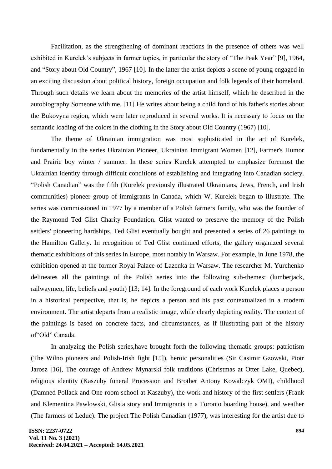Facilitation, as the strengthening of dominant reactions in the presence of others was well exhibited in Kurelek's subjects in farmer topics, in particular the story of "The Peak Year" [9], 1964, and "Story about Old Country", 1967 [10]. In the latter the artist depicts a scene of young engaged in an exciting discussion about political history, foreign occupation and folk legends of their homeland. Through such details we learn about the memories of the artist himself, which he described in the autobiography Someone with me. [11] He writes about being a child fond of his father's stories about the Bukovyna region, which were later reproduced in several works. It is necessary to focus on the semantic loading of the colors in the clothing in the Story about Old Country (1967) [10].

The theme of Ukrainian immigration was most sophisticated in the art of Kurelek, fundamentally in the series Ukrainian Pioneer, Ukrainian Immigrant Women [12], Farmer's Humor and Prairie boy winter / summer. In these series Kurelek attempted to emphasize foremost the Ukrainian identity through difficult conditions of establishing and integrating into Canadian society. "Polish Canadian" was the fifth (Kurelek previously illustrated Ukrainians, Jews, French, and Irish communities) pioneer group of immigrants in Canada, which W. Kurelek began to illustrate. The series was commissioned in 1977 by a member of a Polish farmers family, who was the founder of the Raymond Ted Glist Charity Foundation. Glist wanted to preserve the memory of the Polish settlers' pioneering hardships. Ted Glist eventually bought and presented a series of 26 paintings to the Hamilton Gallery. In recognition of Ted Glist continued efforts, the gallery organized several thematic exhibitions of this series in Europe, most notably in Warsaw. For example, in June 1978, the exhibition opened at the former Royal Palace of Lazenka in Warsaw. The researcher M. Yurchenko delineates all the paintings of the Polish series into the following sub-themes: (lumberjack, railwaymen, life, beliefs and youth) [13; 14]. In the foreground of each work Kurelek places a person in a historical perspective, that is, he depicts a person and his past contextualized in a modern environment. The artist departs from a realistic image, while clearly depicting reality. The content of the paintings is based on concrete facts, and circumstances, as if illustrating part of the history of"Old" Canada.

In analyzing the Polish series,have brought forth the following thematic groups: patriotism (The Wilno pioneers and Polish-Irish fight [15]), heroic personalities (Sir Casimir Gzowski, Piotr Jarosz [16], The courage of Andrew Mynarski folk traditions (Christmas at Otter Lake, Quebec), religious identity (Kaszuby funeral Procession and Brother Antony Kowalczyk OMI), childhood (Damned Pollack and One-room school at Kaszuby), the work and history of the first settlers (Frank and Klementina Pawlowski, Glista story and Immigrants in a Toronto boarding house), and weather (The farmers of Leduc). The project The Polish Canadian (1977), was interesting for the artist due to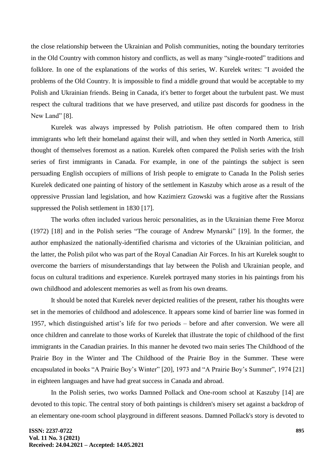the close relationship between the Ukrainian and Polish communities, noting the boundary territories in the Old Country with common history and conflicts, as well as many "single-rooted" traditions and folklore. In one of the explanations of the works of this series, W. Kurelek writes: "I avoided the problems of the Old Country. It is impossible to find a middle ground that would be acceptable to my Polish and Ukrainian friends. Being in Canada, it's better to forget about the turbulent past. We must respect the cultural traditions that we have preserved, and utilize past discords for goodness in the New Land" [8].

Kurelek was always impressed by Polish patriotism. He often compared them to Irish immigrants who left their homeland against their will, and when they settled in North America, still thought of themselves foremost as a nation. Kurelek often compared the Polish series with the Irish series of first immigrants in Canada. For example, in one of the paintings the subject is seen persuading English occupiers of millions of Irish people to emigrate to Canada In the Polish series Kurelek dedicated one painting of history of the settlement in Kaszuby which arose as a result of the oppressive Prussian land legislation, and how Kazimierz Gzowski was a fugitive after the Russians suppressed the Polish settlement in 1830 [17].

The works often included various heroic personalities, as in the Ukrainian theme Free Moroz (1972) [18] and in the Polish series "The courage of Andrew Mynarski" [19]. In the former, the author emphasized the nationally-identified charisma and victories of the Ukrainian politician, and the latter, the Polish pilot who was part of the Royal Canadian Air Forces. In his art Kurelek sought to overcome the barriers of misunderstandings that lay between the Polish and Ukrainian people, and focus on cultural traditions and experience. Kurelek portrayed many stories in his paintings from his own childhood and adolescent memories as well as from his own dreams.

It should be noted that Kurelek never depicted realities of the present, rather his thoughts were set in the memories of childhood and adolescence. It appears some kind of barrier line was formed in 1957, which distinguished artist's life for two periods – before and after conversion. We were all once children and canrelate to those works of Kurelek that illustrate the topic of childhood of the first immigrants in the Canadian prairies. In this manner he devoted two main series The Childhood of the Prairie Boy in the Winter and The Childhood of the Prairie Boy in the Summer. These were encapsulated in books "A Prairie Boy's Winter" [20], 1973 and "A Prairie Boy's Summer", 1974 [21] in eighteen languages and have had great success in Canada and abroad.

In the Polish series, two works Damned Pollack and One-room school at Kaszuby [14] are devoted to this topic. The central story of both paintings is children's misery set against a backdrop of an elementary one-room school playground in different seasons. Damned Pollack's story is devoted to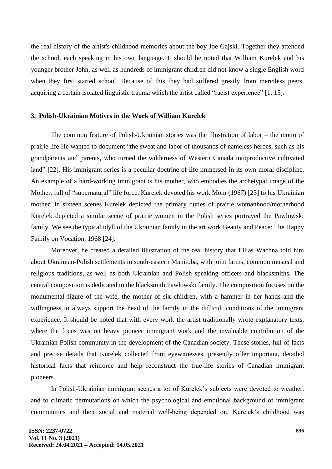the real history of the artist's childhood memories about the boy Joe Gajski. Together they attended the school, each speaking in his own language. It should be noted that William Kurelek and his younger brother John, as well as hundreds of immigrant children did not know a single English word when they first started school. Because of this they had suffered greatly from merciless peers, acquiring a certain isolated linguistic trauma which the artist called "racist experience" [1; 15].

#### **3. Polish-Ukrainian Motives in the Work of William Kurelek**

The common feature of Polish-Ukrainian stories was the illustration of labor – the motto of prairie life He wanted to document "the sweat and labor of thousands of nameless heroes, such as his grandparents and parents, who turned the wilderness of Western Canada intoproductive cultivated land" [22]. His immigrant series is a peculiar doctrine of life immersed in its own moral discipline. An example of a hard-working immigrant is his mother, who embodies the archetypal image of the Mother, full of "supernatural" life force. Kurelek devoted his work Mom (1967) [23] to his Ukrainian mother. In sixteen scenes Kurelek depicted the primary duties of prairie womanhood/motherhood Kurelek depicted a similar scene of prairie women in the Polish series portrayed the Pawlowski family. We see the typical idyll of the Ukrainian family in the art work Beauty and Peace: The Happy Family on Vocation, 1968 [24].

Moreover, he created a detailed illustration of the real history that Ellias Wachna told him about Ukrainian-Polish settlements in south-eastern Manitoba, with joint farms, common musical and religious traditions, as well as both Ukrainian and Polish speaking officers and blacksmiths. The central composition is dedicated to the blacksmith Pawlowski family. The composition focuses on the monumental figure of the wife, the mother of six children, with a hammer in her hands and the willingness to always support the head of the family in the difficult conditions of the immigrant experience. It should be noted that with every work the artist traditionally wrote explanatory texts, where the focus was on heavy pioneer immigrant work and the invaluable contribution of the Ukrainian-Polish community in the development of the Canadian society. These stories, full of facts and precise details that Kurelek collected from eyewitnesses, presently offer important, detailed historical facts that reinforce and help reconstruct the true-life stories of Canadian immigrant pioneers.

In Polish-Ukrainian immigrant scenes a lot of Kurelek's subjects were devoted to weather, and to climatic permutations on which the psychological and emotional background of immigrant communities and their social and material well-being depended on. Kurelek's childhood was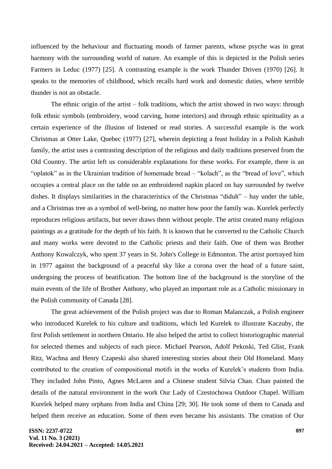influenced by the behaviour and fluctuating moods of farmer parents, whose psyche was in great harmony with the surrounding world of nature. An example of this is depicted in the Polish series Farmers in Leduc (1977) [25]. A contrasting example is the work Thunder Driven (1970) [26]. It speaks to the memories of childhood, which recalls hard work and domestic duties, where terrible thunder is not an obstacle.

The ethnic origin of the artist – folk traditions, which the artist showed in two ways: through folk ethnic symbols (embroidery, wood carving, home interiors) and through ethnic spirituality as a certain experience of the illusion of listened or read stories. A successful example is the work Christmas at Otter Lake, Quebec (1977) [27], wherein depicting a feast holiday in a Polish Kashub family, the artist uses a contrasting description of the religious and daily traditions preserved from the Old Country. The artist left us considerable explanations for these works. For example, there is an "oplatok" as in the Ukrainian tradition of homemade bread – "kolach", as the "bread of love", which occupies a central place on the table on an embroidered napkin placed on hay surrounded by twelve dishes. It displays similarities in the characteristics of the Christmas "diduh" – hay under the table, and a Christmas tree as a symbol of well-being, no matter how poor the family was. Kurelek perfectly reproduces religious artifacts, but never draws them without people. The artist created many religious paintings as a gratitude for the depth of his faith. It is known that he converted to the Catholic Church and many works were devoted to the Catholic priests and their faith. One of them was Brother Anthony Kowalczyk, who spent 37 years in St. John's College in Edmonton. The artist portrayed him in 1977 against the background of a peaceful sky like a corona over the head of a future saint, undergoing the process of beatification. The bottom line of the background is the storyline of the main events of the life of Brother Anthony, who played an important role as a Catholic missionary in the Polish community of Canada [28].

The great achievement of the Polish project was due to Roman Malanczak, a Polish engineer who introduced Kurelek to his culture and traditions, which led Kurelek to illustrate Kaczuby, the first Polish settlement in northern Ontario. He also helped the artist to collect historiographic material for selected themes and subjects of each piece. Michael Pearson, Adolf Pekoski, Ted Glist, Frank Ritz, Wachna and Henry Czapeski also shared interesting stories about their Old Homeland. Many contributed to the creation of compositional motifs in the works of Kurelek's students from India. They included John Pinto, Agnes McLaren and a Chinese student Silvia Chan. Chan painted the details of the natural environment in the work Our Lady of Czestochowa Outdoor Chapel. William Kurelek helped many orphans from India and China [29; 30]. He took some of them to Canada and helped them receive an education. Some of them even became his assistants. The creation of Our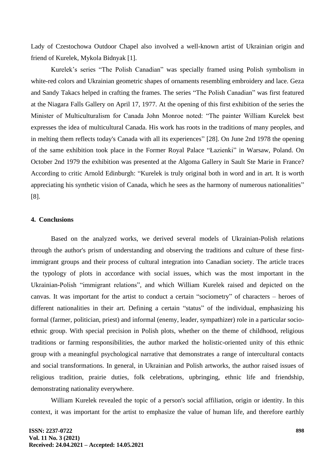Lady of Czestochowa Outdoor Chapel also involved a well-known artist of Ukrainian origin and friend of Kurelek, Mykola Bidnyak [1].

Kurelek's series "The Polish Canadian" was specially framed using Polish symbolism in white-red colors and Ukrainian geometric shapes of ornaments resembling embroidery and lace. Geza and Sandy Takacs helped in crafting the frames. The series "The Polish Canadian" was first featured at the Niagara Falls Gallery on April 17, 1977. At the opening of this first exhibition of the series the Minister of Multiculturalism for Canada John Monroe noted: "The painter William Kurelek best expresses the idea of multicultural Canada. His work has roots in the traditions of many peoples, and in melting them reflects today's Canada with all its experiences" [28]. On June 2nd 1978 the opening of the same exhibition took place in the Former Royal Palace "Łazienki" in Warsaw, Poland. On October 2nd 1979 the exhibition was presented at the Algoma Gallery in Sault Ste Marie in France? According to critic Arnold Edinburgh: "Kurelek is truly original both in word and in art. It is worth appreciating his synthetic vision of Canada, which he sees as the harmony of numerous nationalities" [8].

# **4. Conclusions**

Based on the analyzed works, we derived several models of Ukrainian-Polish relations through the author's prism of understanding and observing the traditions and culture of these firstimmigrant groups and their process of cultural integration into Canadian society. The article traces the typology of plots in accordance with social issues, which was the most important in the Ukrainian-Polish "immigrant relations", and which William Kurelek raised and depicted on the canvas. It was important for the artist to conduct a certain "sociometry" of characters – heroes of different nationalities in their art. Defining a certain "status" of the individual, emphasizing his formal (farmer, politician, priest) and informal (enemy, leader, sympathizer) role in a particular socioethnic group. With special precision in Polish plots, whether on the theme of childhood, religious traditions or farming responsibilities, the author marked the holistic-oriented unity of this ethnic group with a meaningful psychological narrative that demonstrates a range of intercultural contacts and social transformations. In general, in Ukrainian and Polish artworks, the author raised issues of religious tradition, prairie duties, folk celebrations, upbringing, ethnic life and friendship, demonstrating nationality everywhere.

William Kurelek revealed the topic of a person's social affiliation, origin or identity. In this context, it was important for the artist to emphasize the value of human life, and therefore earthly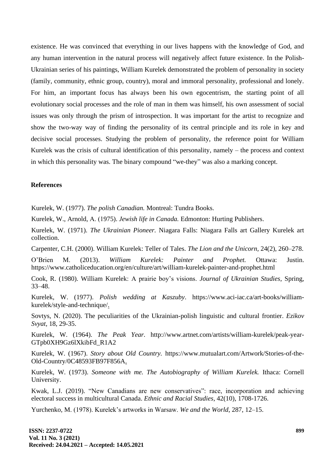existence. He was convinced that everything in our lives happens with the knowledge of God, and any human intervention in the natural process will negatively affect future existence. In the Polish-Ukrainian series of his paintings, William Kurelek demonstrated the problem of personality in society (family, community, ethnic group, country), moral and immoral personality, professional and lonely. For him, an important focus has always been his own egocentrism, the starting point of all evolutionary social processes and the role of man in them was himself, his own assessment of social issues was only through the prism of introspection. It was important for the artist to recognize and show the two-way way of finding the personality of its central principle and its role in key and decisive social processes. Studying the problem of personality, the reference point for William Kurelek was the crisis of cultural identification of this personality, namely – the process and context in which this personality was. The binary compound "we-they" was also a marking concept.

### **References**

Kurelek, W. (1977). *The polish Canadian.* Montreal: Tundra Books.

Kurelek, W., Arnold, А. (1975). *Jewish life in Canada.* Edmonton: Hurting Publishers.

Kurelek, W. (1971). *The Ukrainian Pioneer.* Niagara Falls: Niagara Falls art Gallery Kurelek art collection.

Carpenter, C.H. (2000). William Kurelek: Teller of Tales. *The Lion and the Unicorn,* 24(2), 260–278.

O'Brien M. (2013). *William Kurelek: Painter and Prophet.* Ottawa: Justin. https://www.catholiceducation.org/en/culture/art/william-kurelek-painter-and-prophet.html

Cook, R. (1980). William Kurelek: A prairie boy's visions. *Journal of Ukrainian Studies*, Spring, 33–48.

Kurelek, W. (1977). *Polish wedding at Kaszuby*. https://www.aci-iac.ca/art-books/williamkurelek/style-and-technique/.

Sovtys, N. (2020). The peculiarities of the Ukrainian-polish linguistic and cultural frontier. *Ezikov Svyat*, 18, 29-35.

Kurelek, W. (1964). *The Peak Year.* http://www.artnet.com/artists/william-kurelek/peak-year-GTpb0XH9Gz6lXkibFd\_R1A2

Kurelek, W. (1967). *Story about Old Country.* https://www.mutualart.com/Artwork/Stories-of-the-Old-Country/0C48593FB97F856A.

Kurelek, W. (1973). *Someone with me. The Autobiography of William Kurelek.* Ithaca: Cornell University.

Kwak, L.J. (2019). "New Canadians are new conservatives": race, incorporation and achieving electoral success in multicultural Canada. *Ethnic and Racial Studies*, 42(10), 1708-1726.

Yurchenko, M. (1978). Kurelek's artworks in Warsaw. *We and the World*, 287, 12–15.